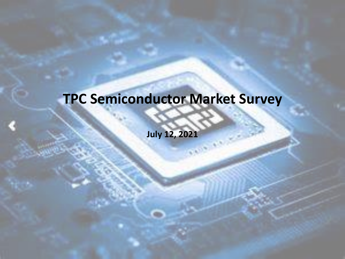### **TPC Semiconductor Market Survey**

**July 12, 2021**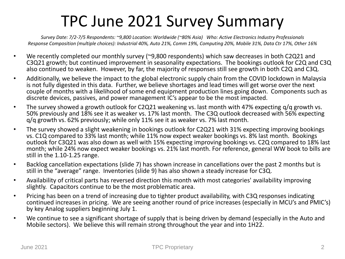#### TPC June 2021 Survey Summary

*Survey Date: 7/2-7/5 Respondents: ~9,800 Location: Worldwide (~80% Asia) Who: Active Electronics Industry Professionals Response Composition (multiple choices): Industrial 40%, Auto 21%, Comm 19%, Computing 20%, Mobile 31%, Data Ctr 17%, Other 16%*

- We recently completed our monthly survey (~9,800 respondents) which saw decreases in both C2Q21 and C3Q21 growth; but continued improvement in seasonality expectations. The bookings outlook for C2Q and C3Q also continued to weaken. However, by far, the majority of responses still see growth in both C2Q and C3Q.
- Additionally, we believe the impact to the global electronic supply chain from the COVID lockdown in Malaysia is not fully digested in this data. Further, we believe shortages and lead times will get worse over the next couple of months with a likelihood of some end equipment production lines going down. Components such as discrete devices, passives, and power management IC's appear to be the most impacted.
- The survey showed a growth outlook for C2Q21 weakening vs. last month with 47% expecting q/q growth vs. 50% previously and 18% see it as weaker vs. 17% last month. The C3Q outlook decreased with 56% expecting q/q growth vs. 62% previously; while only 11% see it as weaker vs. 7% last month.
- The survey showed a slight weakening in bookings outlook for C2Q21 with 31% expecting improving bookings vs. C1Q compared to 33% last month; while 11% now expect weaker bookings vs. 8% last month. Bookings outlook for C3Q21 was also down as well with 15% expecting improving bookings vs. C2Q compared to 18% last month; while 24% now expect weaker bookings vs. 21% last month. For reference, general WW book to bills are still in the 1.10-1.25 range.
- Backlog cancellation expectations (slide 7) has shown increase in cancellations over the past 2 months but is still in the "average" range. Inventories (slide 9) has also shown a steady increase for C3Q.
- Availability of critical parts has reversed direction this month with most categories' availability improving slightly. Capacitors continue to be the most problematic area.
- Pricing has been on a trend of increasing due to tighter product availability, with C3Q responses indicating continued increases in pricing. We are seeing another round of price increases (especially in MCU's and PMIC's) by key Analog suppliers beginning July 1.
- We continue to see a significant shortage of supply that is being driven by demand (especially in the Auto and Mobile sectors). We believe this will remain strong throughout the year and into 1H22.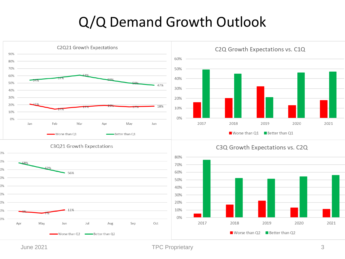#### Q/Q Demand Growth Outlook



June 2021 **TPC Proprietary** 3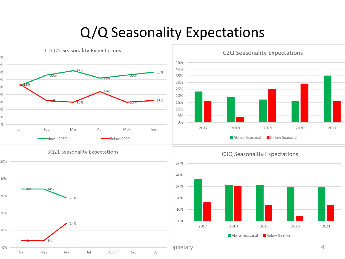#### Q/Q Seasonality Expectations

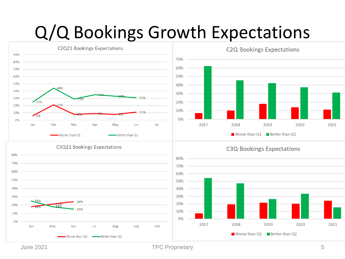## Q/Q Bookings Growth Expectations



June 2021 **TPC Proprietary** 5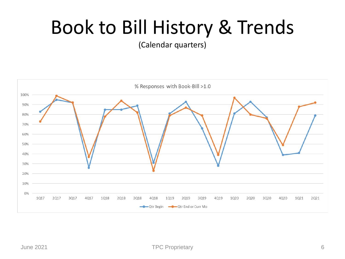## Book to Bill History & Trends

(Calendar quarters)

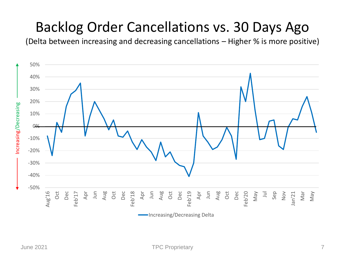#### Backlog Order Cancellations vs. 30 Days Ago

(Delta between increasing and decreasing cancellations – Higher % is more positive)

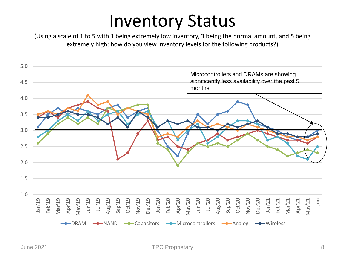### Inventory Status

(Using a scale of 1 to 5 with 1 being extremely low inventory, 3 being the normal amount, and 5 being extremely high; how do you view inventory levels for the following products?)

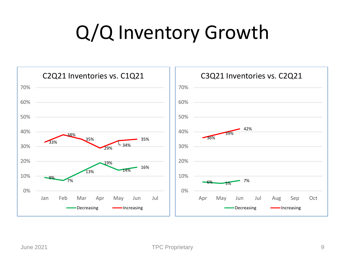## Q/Q Inventory Growth

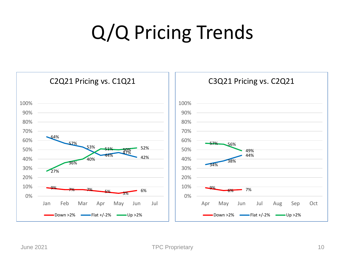# Q/Q Pricing Trends